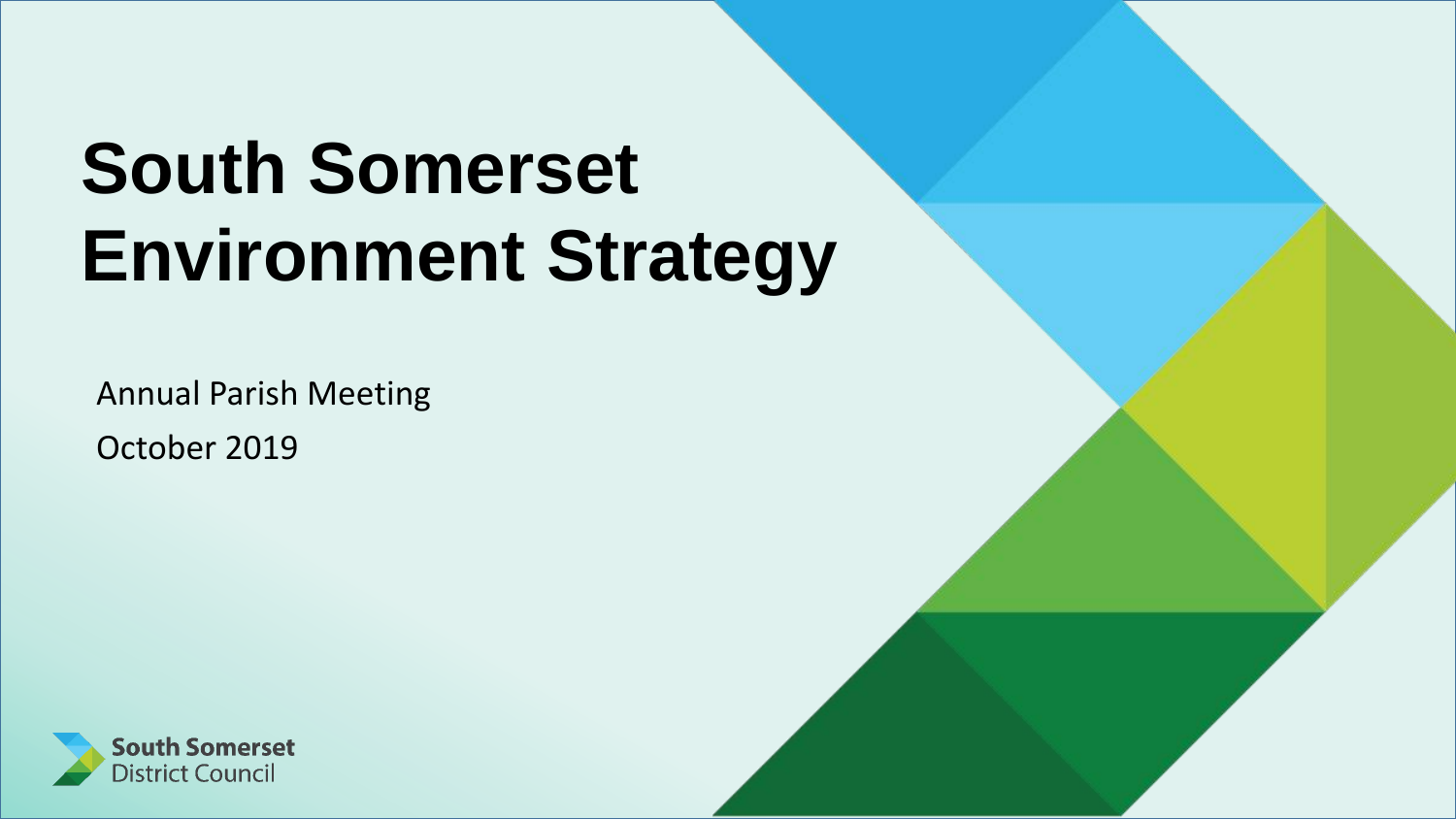# **South Somerset Environment Strategy**

Annual Parish Meeting October 2019

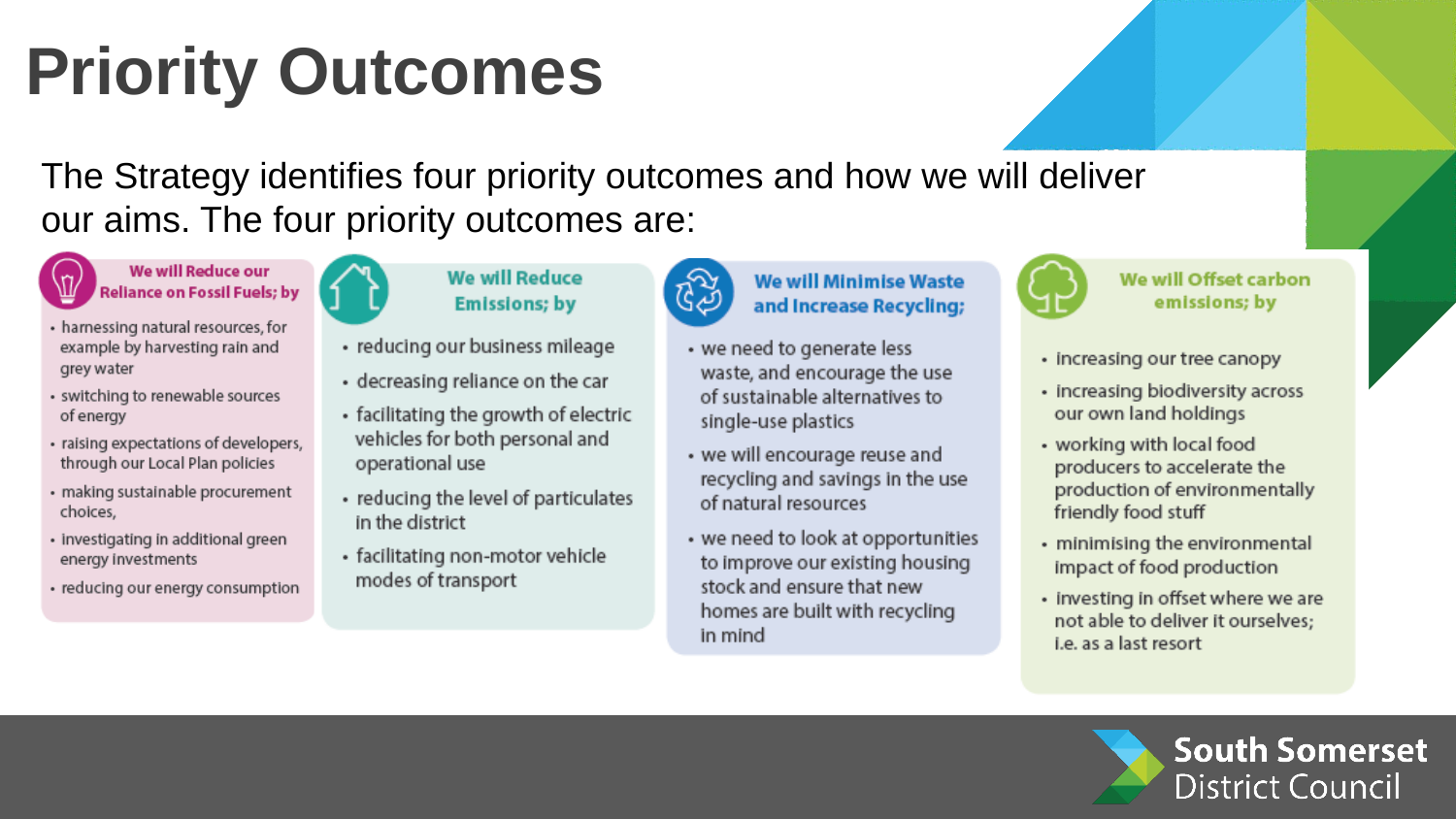## **Priority Outcomes**

The Strategy identifies four priority outcomes and how we will deliver our aims. The four priority outcomes are:



#### We will Reduce our **Reliance on Fossil Fuels: by**

- harnessing natural resources, for example by harvesting rain and grey water
- · switching to renewable sources of energy
- · raising expectations of developers, through our Local Plan policies
- · making sustainable procurement choices,
- · investigating in additional green energy investments
- reducing our energy consumption

### **We will Reduce Emissions; by**

- · reducing our business mileage
- decreasing reliance on the car
- · facilitating the growth of electric vehicles for both personal and operational use
- reducing the level of particulates in the district
- · facilitating non-motor vehicle modes of transport



### **We will Minimise Waste** and Increase Recycling;

- we need to generate less waste, and encourage the use of sustainable alternatives to single-use plastics
- we will encourage reuse and recycling and savings in the use of natural resources
- we need to look at opportunities to improve our existing housing stock and ensure that new homes are built with recycling in mind



#### We will Offset carbon emissions; by

- · Increasing our tree canopy
- · Increasing biodiversity across our own land holdings
- working with local food producers to accelerate the production of environmentally friendly food stuff
- · minimising the environmental impact of food production
- investing in offset where we are not able to deliver it ourselves: i.e. as a last resort

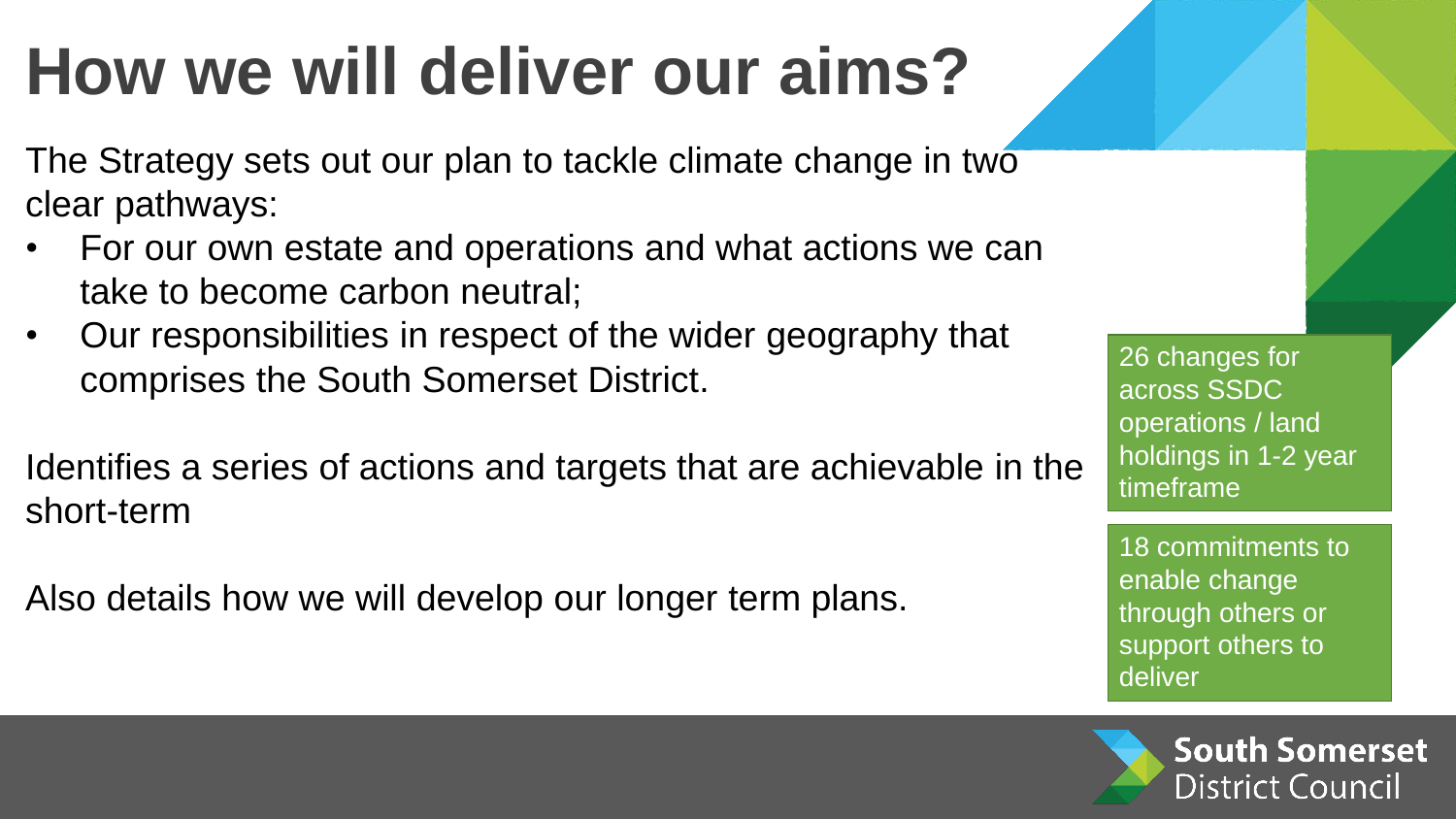### **How we will deliver our aims?**

The Strategy sets out our plan to tackle climate change in two clear pathways:

- For our own estate and operations and what actions we can take to become carbon neutral;
- Our responsibilities in respect of the wider geography that comprises the South Somerset District.

Identifies a series of actions and targets that are achievable in the short-term

Also details how we will develop our longer term plans.

26 changes for across SSDC operations / land holdings in 1-2 year timeframe

18 commitments to enable change through others or support others to deliver

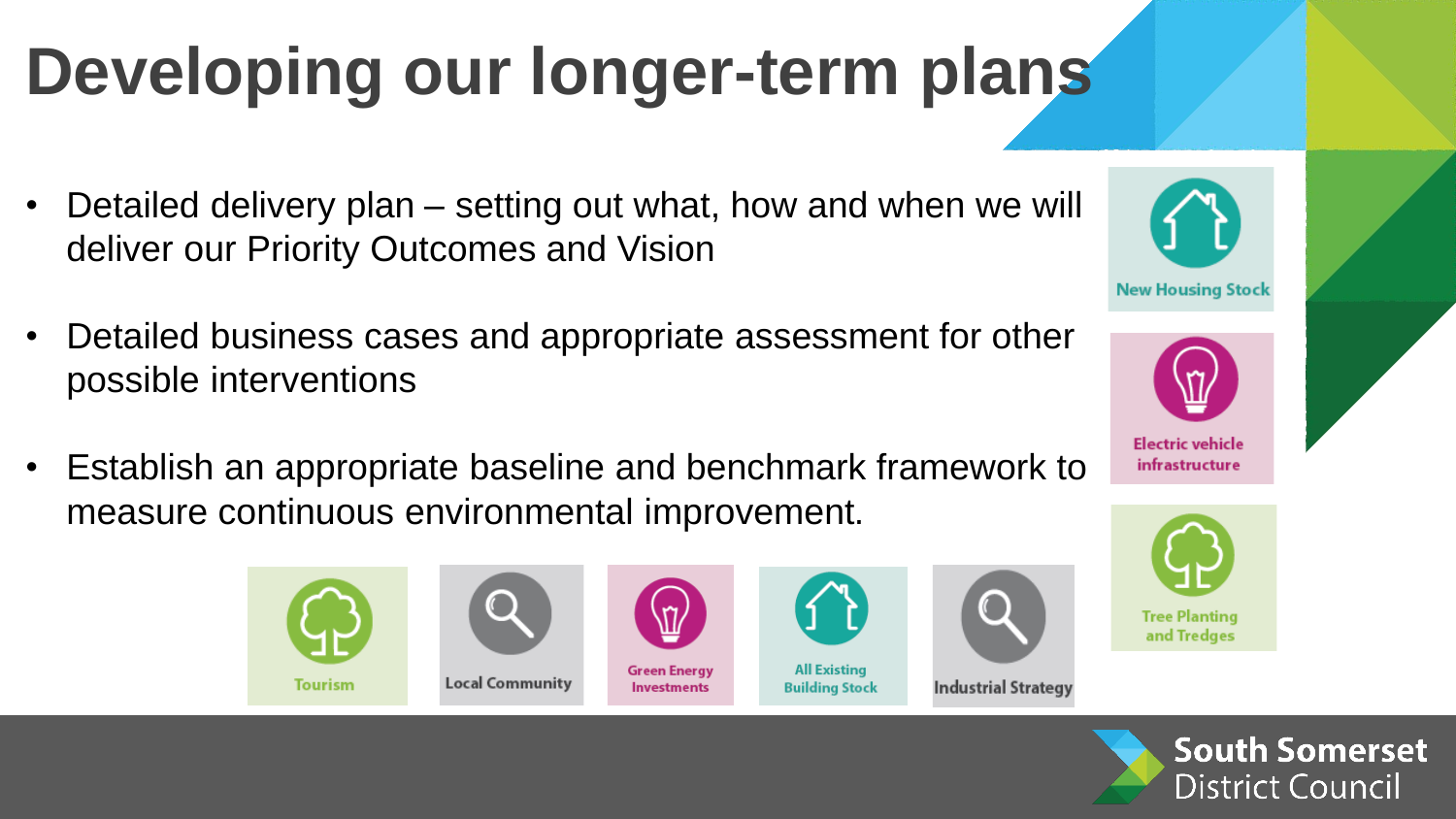## **Developing our longer-term plans**

- Detailed delivery plan setting out what, how and when we will deliver our Priority Outcomes and Vision
- Detailed business cases and appropriate assessment for other possible interventions
- Establish an appropriate baseline and benchmark framework to measure continuous environmental improvement.







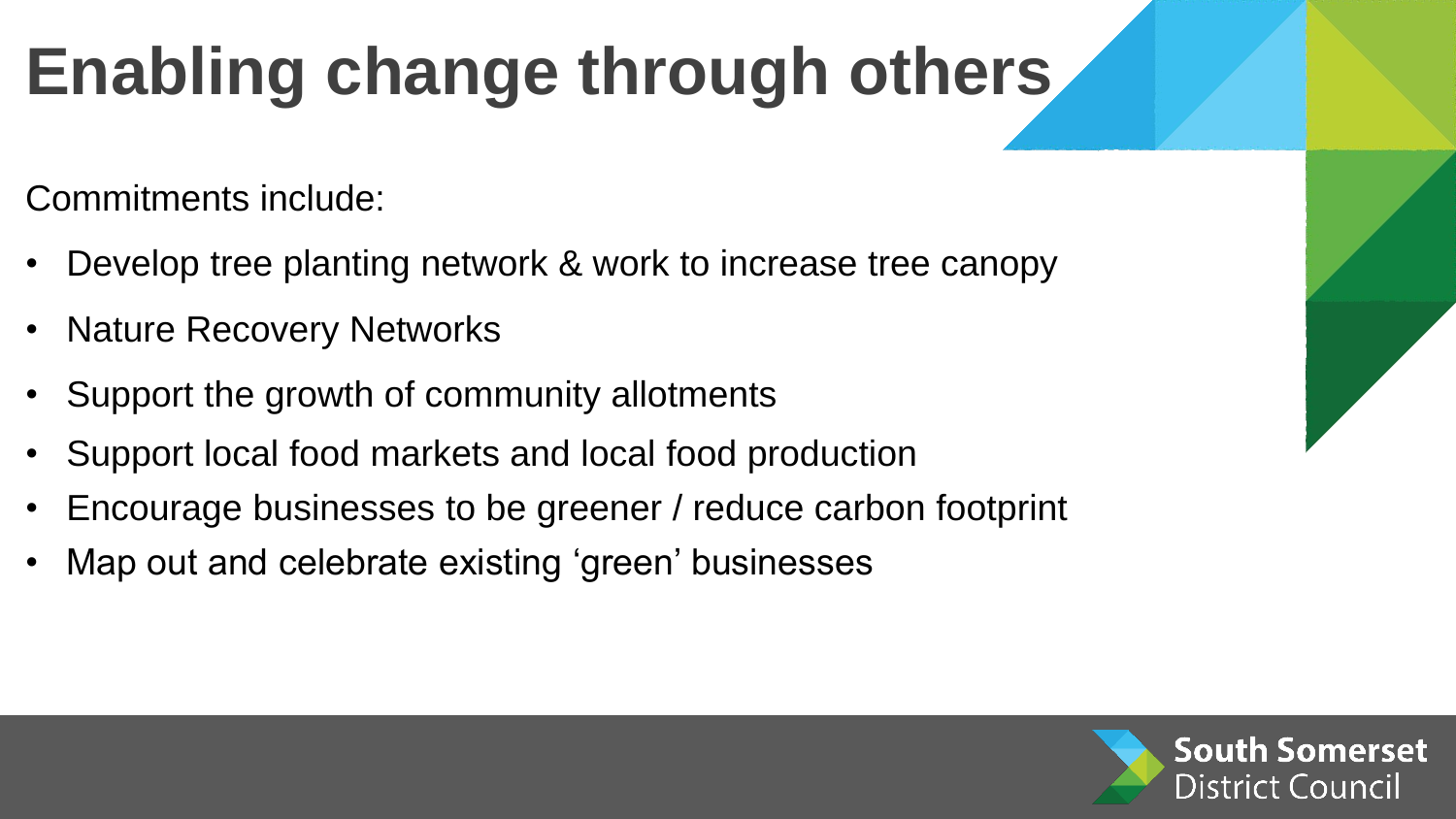## **Enabling change through others**

Commitments include:

- Develop tree planting network & work to increase tree canopy
- Nature Recovery Networks
- Support the growth of community allotments
- Support local food markets and local food production
- Encourage businesses to be greener / reduce carbon footprint
- Map out and celebrate existing 'green' businesses